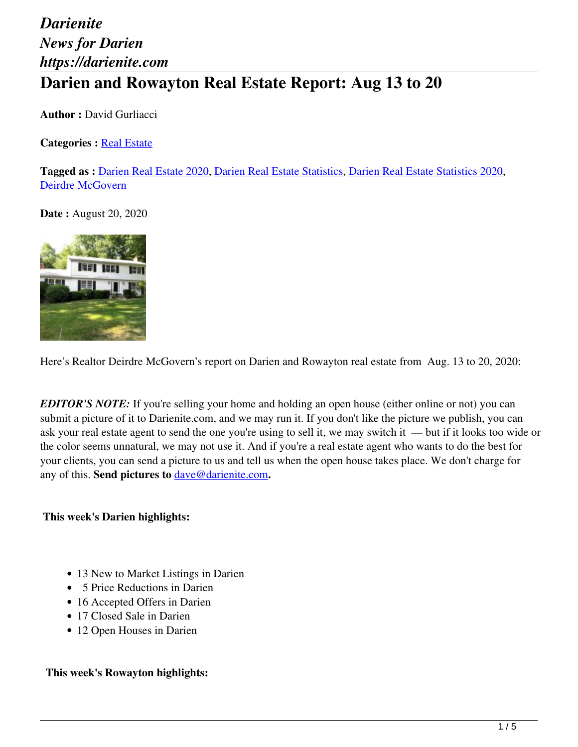# *Darienite News for Darien https://darienite.com* **Darien and Rowayton Real Estate Report: Aug 13 to 20**

**Author :** David Gurliacci

**Categories : [Real Estate](https://darienite.com/category/real-estate)** 

**Tagged as :** Darien Real Estate 2020, Darien Real Estate Statistics, Darien Real Estate Statistics 2020, Deirdre McGovern

**Date:** August 20, 2020



Here's Realtor Deirdre McGovern's report on Darien and Rowayton real estate from Aug. 13 to 20, 2020:

*EDITOR'S NOTE:* If you're selling your home and holding an open house (either online or not) you can submit a picture of it to Darienite.com, and we may run it. If you don't like the picture we publish, you can ask your real estate agent to send the one you're using to sell it, we may switch it — but if it looks too wide or the color seems unnatural, we may not use it. And if you're a real estate agent who wants to do the best for your clients, you can send a picture to us and tell us when the open house takes place. We don't charge for any of this. **Send pictures to** dave@darienite.com**.**

**This week's Darien highlights:**

- 13 New to Market Listings in Darien
- 5 Price Reductions in Darien
- 16 Accepted Offers in Darien
- 17 Closed Sale in Darien
- 12 Open Houses in Darien

#### **This week's Rowayton highlights:**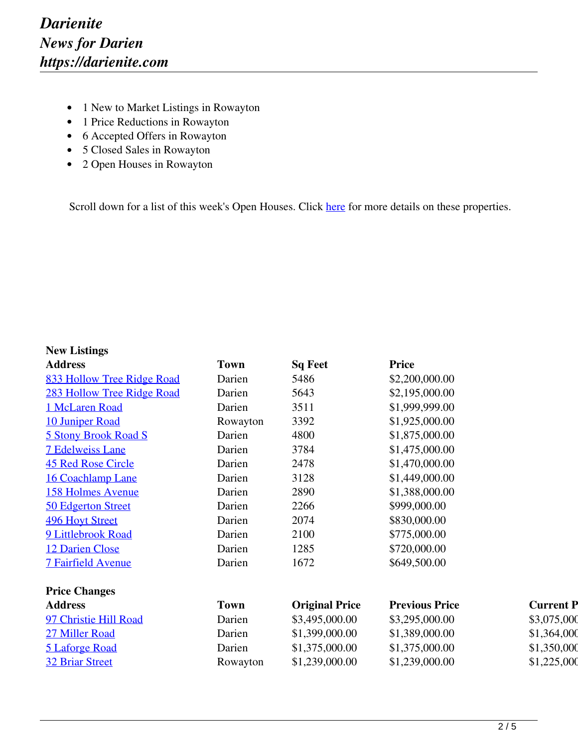- 1 New to Market Listings in Rowayton
- 1 Price Reductions in Rowayton
- 6 Accepted Offers in Rowayton
- 5 Closed Sales in Rowayton
- 2 Open Houses in Rowayton

Scroll down for a list of this week's Open Houses. Click here for more details on these properties.

#### **New Listings**

| <b>Address</b>              | <b>Town</b> | <b>Sq Feet</b>        | <b>Price</b>          |                  |
|-----------------------------|-------------|-----------------------|-----------------------|------------------|
| 833 Hollow Tree Ridge Road  | Darien      | 5486                  | \$2,200,000.00        |                  |
| 283 Hollow Tree Ridge Road  | Darien      | 5643                  | \$2,195,000.00        |                  |
| 1 McLaren Road              | Darien      | 3511                  | \$1,999,999.00        |                  |
| 10 Juniper Road             | Rowayton    | 3392                  | \$1,925,000.00        |                  |
| <b>5 Stony Brook Road S</b> | Darien      | 4800                  | \$1,875,000.00        |                  |
| <b>7 Edelweiss Lane</b>     | Darien      | 3784                  | \$1,475,000.00        |                  |
| <b>45 Red Rose Circle</b>   | Darien      | 2478                  | \$1,470,000.00        |                  |
| <b>16 Coachlamp Lane</b>    | Darien      | 3128                  | \$1,449,000.00        |                  |
| <b>158 Holmes Avenue</b>    | Darien      | 2890                  | \$1,388,000.00        |                  |
| 50 Edgerton Street          | Darien      | 2266                  | \$999,000.00          |                  |
| <b>496 Hoyt Street</b>      | Darien      | 2074                  | \$830,000.00          |                  |
| 9 Littlebrook Road          | Darien      | 2100                  | \$775,000.00          |                  |
| 12 Darien Close             | Darien      | 1285                  | \$720,000.00          |                  |
| <b>7 Fairfield Avenue</b>   | Darien      | 1672                  | \$649,500.00          |                  |
| <b>Price Changes</b>        |             |                       |                       |                  |
| <b>Address</b>              | <b>Town</b> | <b>Original Price</b> | <b>Previous Price</b> | <b>Current P</b> |
| 97 Christie Hill Road       | Darien      | \$3,495,000.00        | \$3,295,000.00        | \$3,075,000      |
| 27 Miller Road              | Darien      | \$1,399,000.00        | \$1,389,000.00        | \$1,364,000      |
| <b>5 Laforge Road</b>       | Darien      | \$1,375,000.00        | \$1,375,000.00        | \$1,350,000      |
| <b>32 Briar Street</b>      | Rowayton    | \$1,239,000.00        | \$1,239,000.00        | \$1,225,000      |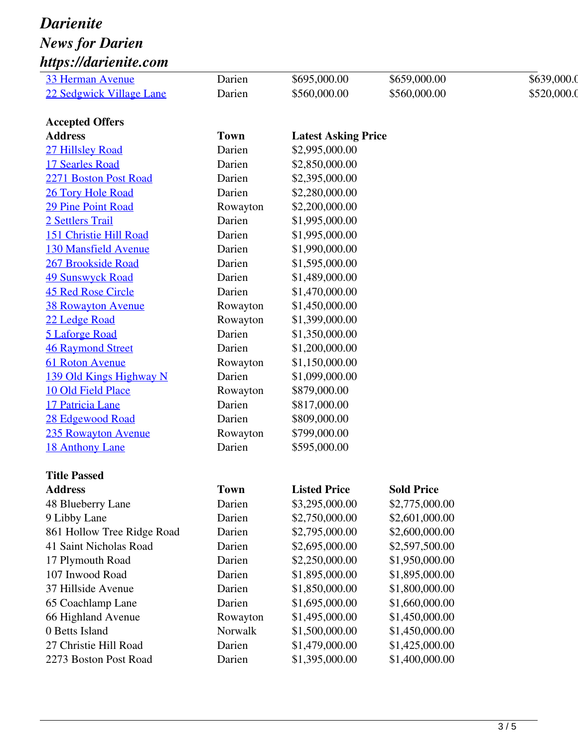## *Darienite News for Darien https://darienite.com*

| <b>33 Herman Avenue</b>     | Darien      | \$695,000.00               | \$659,000.00      | \$639,000.0 |
|-----------------------------|-------------|----------------------------|-------------------|-------------|
| 22 Sedgwick Village Lane    | Darien      | \$560,000.00               | \$560,000.00      | \$520,000.0 |
|                             |             |                            |                   |             |
| <b>Accepted Offers</b>      |             |                            |                   |             |
| <b>Address</b>              | <b>Town</b> | <b>Latest Asking Price</b> |                   |             |
| 27 Hillsley Road            | Darien      | \$2,995,000.00             |                   |             |
| 17 Searles Road             | Darien      | \$2,850,000.00             |                   |             |
| 2271 Boston Post Road       | Darien      | \$2,395,000.00             |                   |             |
| 26 Tory Hole Road           | Darien      | \$2,280,000.00             |                   |             |
| <b>29 Pine Point Road</b>   | Rowayton    | \$2,200,000.00             |                   |             |
| 2 Settlers Trail            | Darien      | \$1,995,000.00             |                   |             |
| 151 Christie Hill Road      | Darien      | \$1,995,000.00             |                   |             |
| <b>130 Mansfield Avenue</b> | Darien      | \$1,990,000.00             |                   |             |
| 267 Brookside Road          | Darien      | \$1,595,000.00             |                   |             |
| <b>49 Sunswyck Road</b>     | Darien      | \$1,489,000.00             |                   |             |
| <b>45 Red Rose Circle</b>   | Darien      | \$1,470,000.00             |                   |             |
| <b>38 Rowayton Avenue</b>   | Rowayton    | \$1,450,000.00             |                   |             |
| 22 Ledge Road               | Rowayton    | \$1,399,000.00             |                   |             |
| 5 Laforge Road              | Darien      | \$1,350,000.00             |                   |             |
| <b>46 Raymond Street</b>    | Darien      | \$1,200,000.00             |                   |             |
| 61 Roton Avenue             | Rowayton    | \$1,150,000.00             |                   |             |
| 139 Old Kings Highway N     | Darien      | \$1,099,000.00             |                   |             |
| 10 Old Field Place          | Rowayton    | \$879,000.00               |                   |             |
| 17 Patricia Lane            | Darien      | \$817,000.00               |                   |             |
| 28 Edgewood Road            | Darien      | \$809,000.00               |                   |             |
| 235 Rowayton Avenue         | Rowayton    | \$799,000.00               |                   |             |
| 18 Anthony Lane             | Darien      | \$595,000.00               |                   |             |
| <b>Title Passed</b>         |             |                            |                   |             |
| <b>Address</b>              | <b>Town</b> | <b>Listed Price</b>        | <b>Sold Price</b> |             |
| 48 Blueberry Lane           | Darien      | \$3,295,000.00             | \$2,775,000.00    |             |
| 9 Libby Lane                | Darien      | \$2,750,000.00             | \$2,601,000.00    |             |
| 861 Hollow Tree Ridge Road  | Darien      | \$2,795,000.00             | \$2,600,000.00    |             |
| 41 Saint Nicholas Road      | Darien      | \$2,695,000.00             | \$2,597,500.00    |             |
| 17 Plymouth Road            | Darien      | \$2,250,000.00             | \$1,950,000.00    |             |
| 107 Inwood Road             | Darien      | \$1,895,000.00             | \$1,895,000.00    |             |
| 37 Hillside Avenue          | Darien      | \$1,850,000.00             | \$1,800,000.00    |             |
| 65 Coachlamp Lane           | Darien      | \$1,695,000.00             | \$1,660,000.00    |             |
| 66 Highland Avenue          | Rowayton    | \$1,495,000.00             | \$1,450,000.00    |             |
| 0 Betts Island              | Norwalk     | \$1,500,000.00             | \$1,450,000.00    |             |
| 27 Christie Hill Road       | Darien      | \$1,479,000.00             | \$1,425,000.00    |             |
| 2273 Boston Post Road       | Darien      | \$1,395,000.00             | \$1,400,000.00    |             |
|                             |             |                            |                   |             |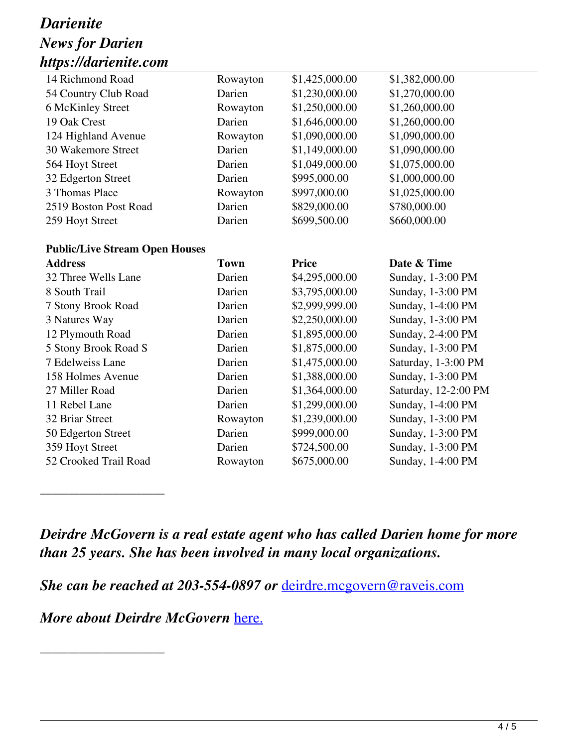### *Darienite News for Darien https://darienite.com*

| 14 Richmond Road                      | Rowayton    | \$1,425,000.00 | \$1,382,000.00       |
|---------------------------------------|-------------|----------------|----------------------|
| 54 Country Club Road                  | Darien      | \$1,230,000.00 | \$1,270,000.00       |
| 6 McKinley Street                     | Rowayton    | \$1,250,000.00 | \$1,260,000.00       |
| 19 Oak Crest                          | Darien      | \$1,646,000.00 | \$1,260,000.00       |
| 124 Highland Avenue                   | Rowayton    | \$1,090,000.00 | \$1,090,000.00       |
| 30 Wakemore Street                    | Darien      | \$1,149,000.00 | \$1,090,000.00       |
| 564 Hoyt Street                       | Darien      | \$1,049,000.00 | \$1,075,000.00       |
| 32 Edgerton Street                    | Darien      | \$995,000.00   | \$1,000,000.00       |
| 3 Thomas Place                        | Rowayton    | \$997,000.00   | \$1,025,000.00       |
| 2519 Boston Post Road                 | Darien      | \$829,000.00   | \$780,000.00         |
| 259 Hoyt Street                       | Darien      | \$699,500.00   | \$660,000.00         |
|                                       |             |                |                      |
| <b>Public/Live Stream Open Houses</b> |             |                |                      |
| <b>Address</b>                        | <b>Town</b> | <b>Price</b>   | Date & Time          |
| 32 Three Wells Lane                   | Darien      | \$4,295,000.00 | Sunday, 1-3:00 PM    |
| 8 South Trail                         | Darien      | \$3,795,000.00 | Sunday, 1-3:00 PM    |
| 7 Stony Brook Road                    | Darien      | \$2,999,999.00 | Sunday, 1-4:00 PM    |
|                                       |             |                |                      |
| 3 Natures Way                         | Darien      | \$2,250,000.00 | Sunday, 1-3:00 PM    |
| 12 Plymouth Road                      | Darien      | \$1,895,000.00 | Sunday, 2-4:00 PM    |
| 5 Stony Brook Road S                  | Darien      | \$1,875,000.00 | Sunday, 1-3:00 PM    |
| 7 Edelweiss Lane                      | Darien      | \$1,475,000.00 | Saturday, 1-3:00 PM  |
| 158 Holmes Avenue                     | Darien      | \$1,388,000.00 | Sunday, 1-3:00 PM    |
| 27 Miller Road                        | Darien      | \$1,364,000.00 | Saturday, 12-2:00 PM |
| 11 Rebel Lane                         | Darien      | \$1,299,000.00 | Sunday, 1-4:00 PM    |
| 32 Briar Street                       | Rowayton    | \$1,239,000.00 | Sunday, 1-3:00 PM    |
| 50 Edgerton Street                    | Darien      | \$999,000.00   | Sunday, 1-3:00 PM    |
| 359 Hoyt Street                       | Darien      | \$724,500.00   | Sunday, 1-3:00 PM    |
| 52 Crooked Trail Road                 | Rowayton    | \$675,000.00   | Sunday, 1-4:00 PM    |

*Deirdre McGovern is a real estate agent who has called Darien home for more than 25 years. She has been involved in many local organizations.* 

*She can be reached at 203-554-0897 or* deirdre.mcgovern@raveis.com

*More about Deirdre McGovern* here.

\_\_\_\_\_\_\_\_\_\_\_\_\_\_\_\_\_\_\_\_\_\_

\_\_\_\_\_\_\_\_\_\_\_\_\_\_\_\_\_\_\_\_\_\_